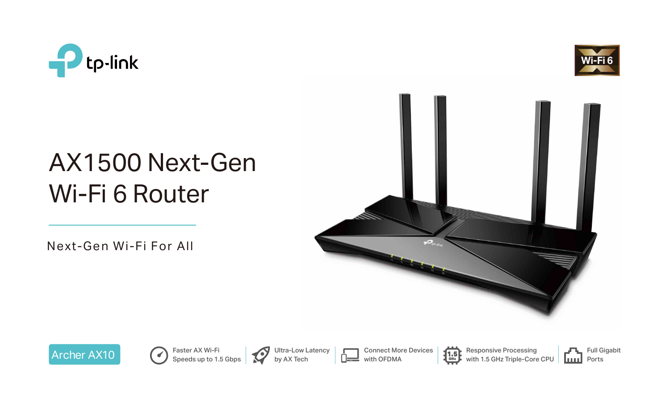

# AX1500 Next-Gen Wi-Fi 6 Router

Faster AX Wi-Fi Speeds up to 1.5 Gbps



Next-Gen Wi-Fi For All

Ultra-Low Latency by AX Tech













Responsive Processing with 1.5 GHz Triple-Core CPU

Connect More Devices with OFDMA

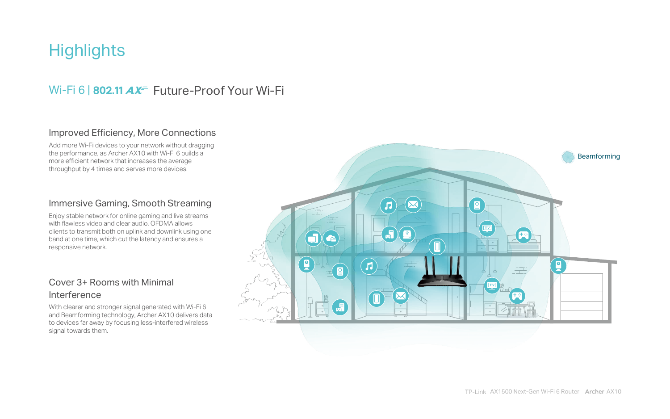## **Highlights**

## Wi-Fi 6 | 802.11  $AX^2$  Future-Proof Your Wi-Fi



### Immersive Gaming, Smooth Streaming

Enjoy stable network for online gaming and live streams with flawless video and clear audio. OFDMA allows clients to transmit both on uplink and downlink using one band at one time, which cut the latency and ensures a responsive network.

### Cover 3+ Rooms with Minimal Interference

With clearer and stronger signal generated with Wi-Fi 6 and Beamforming technology, Archer AX10 delivers data to devices far away by focusing less-interfered wireless signal towards them.

### Improved Efficiency, More Connections

Add more Wi-Fi devices to your network without dragging the performance, as Archer AX10 with Wi-Fi 6 builds a more efficient network that increases the average throughput by 4 times and serves more devices.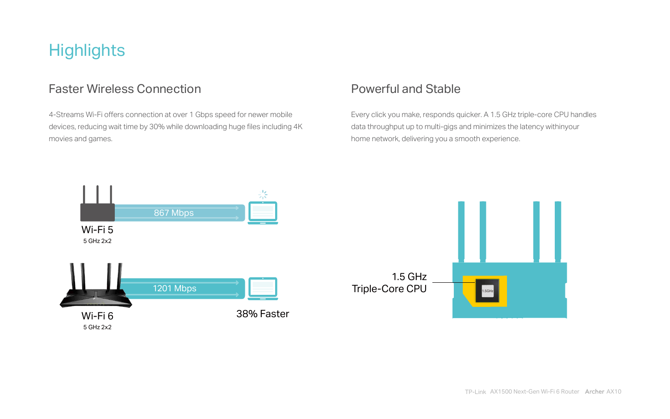## **Highlights**

### Faster Wireless Connection **Powerful and Stable**

4-Streams Wi-Fi offers connection at over 1 Gbps speed for newer mobile devices, reducing wait time by 30% while downloading huge files including 4K movies and games.

Every click you make, responds quicker. A 1.5 GHz triple-core CPU handles data throughput up to multi-gigs and minimizes the latency withinyour home network, delivering you a smooth experience.

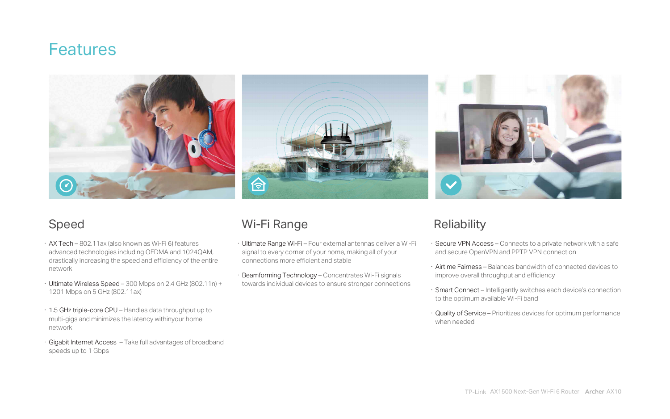## **Features**



- · AX Tech 802.11ax (also known as Wi-Fi 6) features advanced technologies including OFDMA and 1024QAM, drastically increasing the speed and efficiency of the entire network
- · Ultimate Wireless Speed 300 Mbps on 2.4 GHz (802.11n) + 1201 Mbps on 5 GHz (802.11ax)
- · 1.5 GHz triple-core CPU Handles data throughput up to multi-gigs and minimizes the latency withinyour home network
- · Gigabit Internet Access Take full advantages of broadband speeds up to 1 Gbps



## Speed Wi-Fi Range Reliability

- · Ultimate Range Wi-Fi Four external antennas deliver a Wi-Fi signal to every corner of your home, making all of your connections more efficient and stable
- Beamforming Technology Concentrates Wi-Fi signals towards individual devices to ensure stronger connections



- · Secure VPN Access Connects to a private network with a safe and secure OpenVPN and PPTP VPN connection
- · Airtime Fairness Balances bandwidth of connected devices to improve overall throughput and efficiency
- · Smart Connect Intelligently switches each device's connection to the optimum available Wi-Fi band
- · Quality of Service Prioritizes devices for optimum performance when needed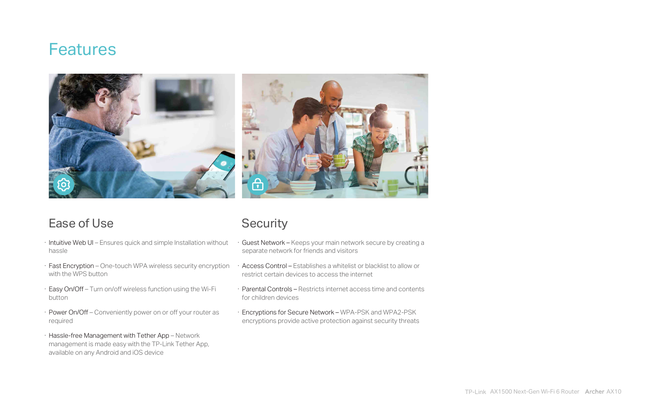- · Intuitive Web UI Ensures quick and simple Installation without hassle
- · Fast Encryption One-touch WPA wireless security encryption with the WPS button
- · Easy On/Off Turn on/off wireless function using the Wi-Fi button
- · Power On/Off Conveniently power on or off your router as required
- · Hassle-free Management with Tether App Network management is made easy with the TP-Link Tether App, available on any Android and iOS device



- · Guest Network Keeps your main network secure by creating a separate network for friends and visitors
- · Access Control Establishes a whitelist or blacklist to allow or restrict certain devices to access the internet
- · Parental Controls Restricts internet access time and contents for children devices
- · Encryptions for Secure Network WPA-PSK and WPA2-PSK encryptions provide active protection against security threats



## **Features**





TP-Link AX1500 Next-Gen Wi-Fi 6 Router AX10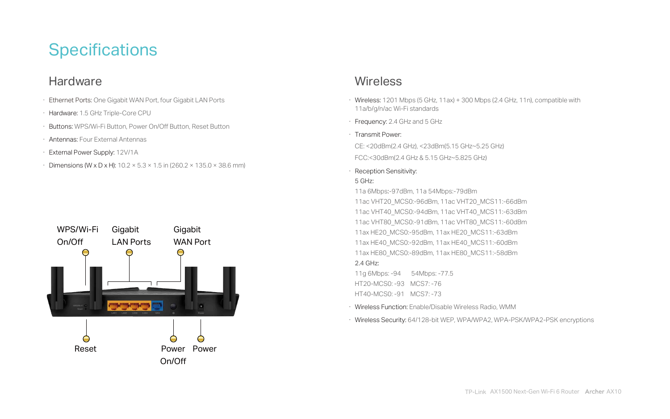## **Specifications**

## **Hardware**

- · Ethernet Ports: One Gigabit WAN Port, four Gigabit LAN Ports
- · Hardware: 1.5 GHz Triple-Core CPU
- · Buttons: WPS/Wi-Fi Button, Power On/Off Button, Reset Button
- · Antennas: Four External Antennas
- · External Power Supply: 12V/1A
- Dimensions (W x D x H):  $10.2 \times 5.3 \times 1.5$  in (260.2  $\times$  135.0  $\times$  38.6 mm)

· Wireless: 1201 Mbps (5 GHz, 11ax) + 300 Mbps (2.4 GHz, 11n), compatible with

CE: <20dBm(2.4 GHz), <23dBm(5.15 GHz~5.25 GHz) FCC:<30dBm(2.4 GHz & 5.15 GHz~5.825 GHz)

- 11a/b/g/n/ac Wi-Fi standards
- · Frequency: 2.4 GHz and 5 GHz
- · Transmit Power:
- 
- 
- · Reception Sensitivity: 5 GHz:
- 11a 6Mbps:-97dBm, 11a 54Mbps:-79dBm
- 
- 
- 
- 
- 2.4 GHz:
- 11g 6Mbps: -94 54Mbps: -77.5
- HT20-MCS0: -93 MCS7: -76
- HT40-MCS0: -91 MCS7: -73
- 
- 

11ac VHT20\_MCS0:-96dBm, 11ac VHT20\_MCS11:-66dBm 11ac VHT40\_MCS0:-94dBm, 11ac VHT40\_MCS11:-63dBm 11ac VHT80\_MCS0:-91dBm, 11ac VHT80\_MCS11:-60dBm 11ax HE20\_MCS0:-95dBm, 11ax HE20\_MCS11:-63dBm 11ax HE40\_MCS0:-92dBm, 11ax HE40\_MCS11:-60dBm 11ax HE80\_MCS0:-89dBm, 11ax HE80\_MCS11:-58dBm

· Wireless Function: Enable/Disable Wireless Radio, WMM · Wireless Security: 64/128-bit WEP, WPA/WPA2, WPA-PSK/WPA2-PSK encryptions



### **Wireless**